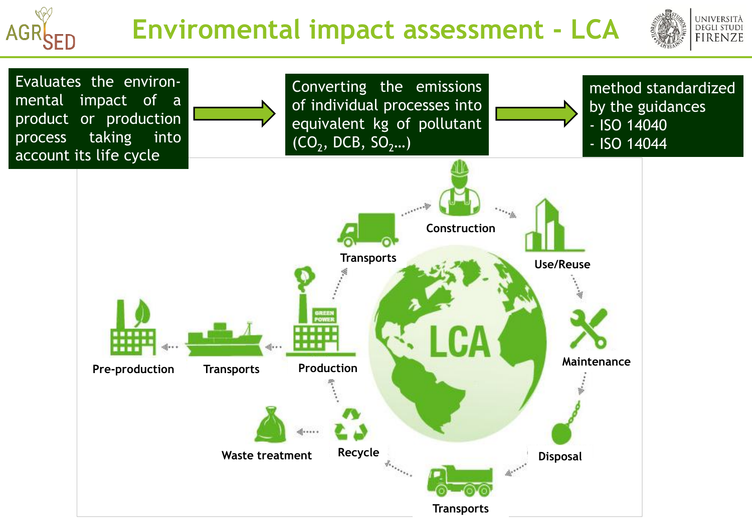# **AGR**

### **Enviromental impact assessment - LCA**



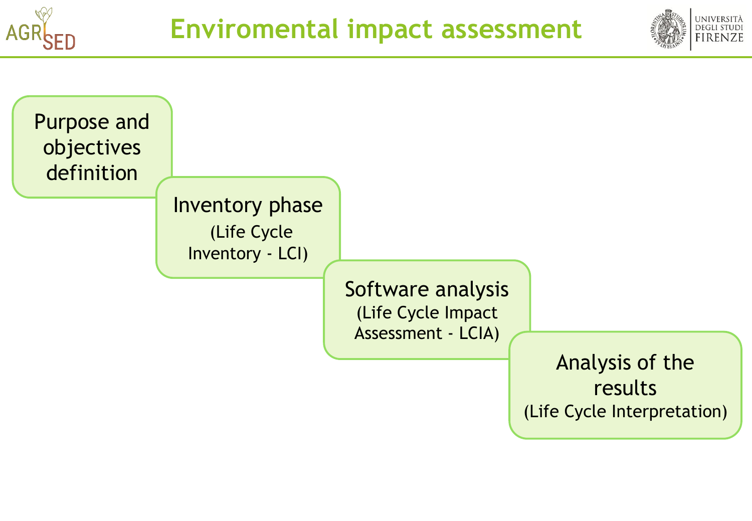



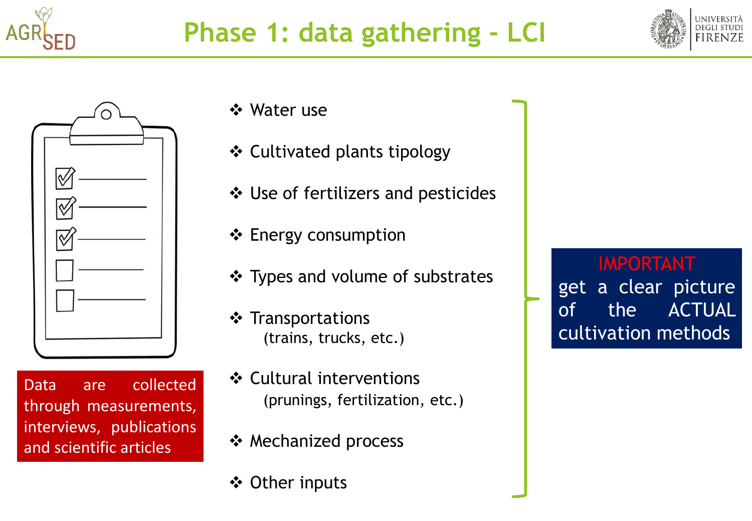





Data are collected through measurements, interviews, publications and scientific articles

Water use

- Cultivated plants tipology
- Use of fertilizers and pesticides
- ❖ Energy consumption
- \* Types and volume of substrates
- $\div$  Transportations (trains, trucks, etc.)
- **❖ Cultural interventions** (prunings, fertilization, etc.)
- ❖ Mechanized process
- Other inputs

IMPORTANT

get a clear picture of the ACTUAL cultivation methods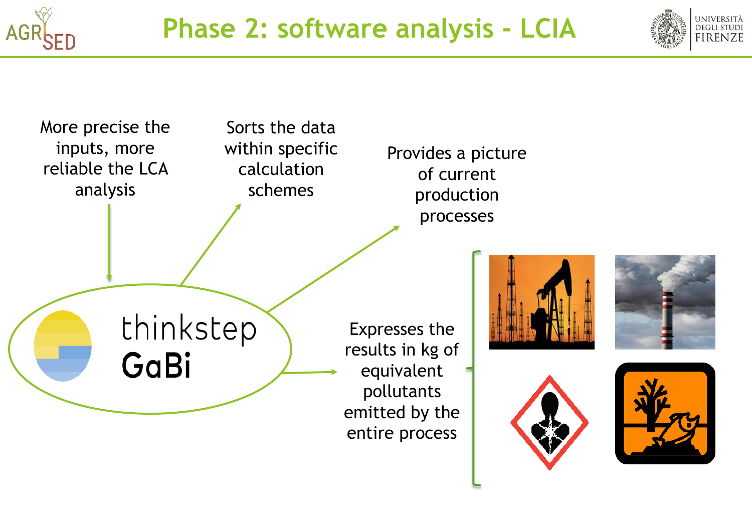





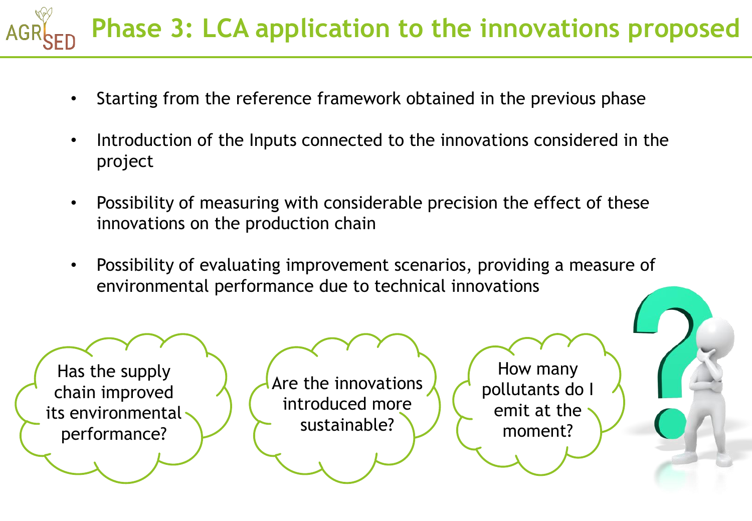## **Phase 3: LCA application to the innovations proposed**

- Starting from the reference framework obtained in the previous phase
- Introduction of the Inputs connected to the innovations considered in the project
- Possibility of measuring with considerable precision the effect of these innovations on the production chain
- Possibility of evaluating improvement scenarios, providing a measure of environmental performance due to technical innovations

Has the supply chain improved its environmental performance?

Are the innovations introduced more sustainable?

How many pollutants do I emit at the moment?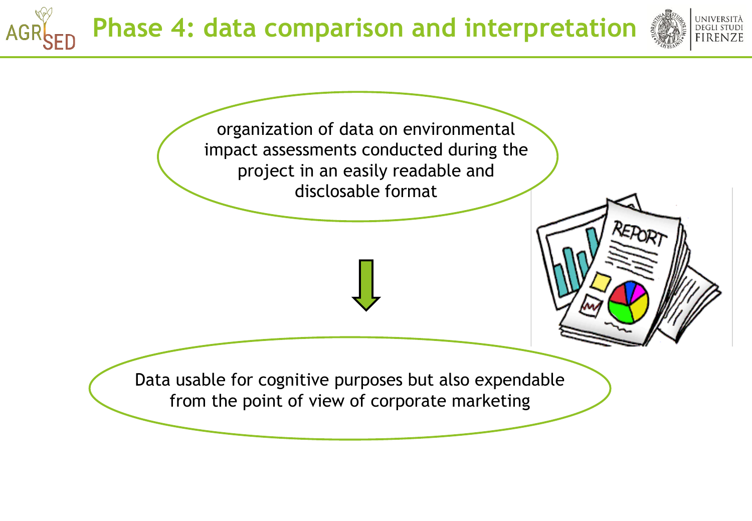## **Phase 4: data comparison and interpretation**

**AG** 



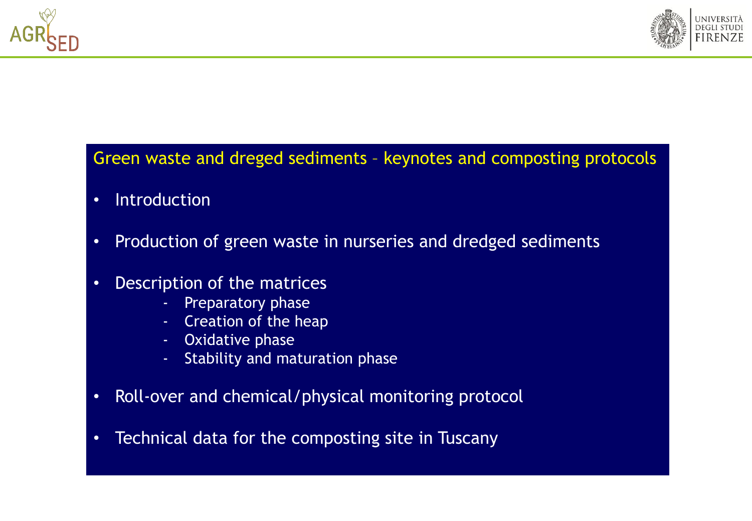



### Green waste and dreged sediments – keynotes and composting protocols

- Introduction
- Production of green waste in nurseries and dredged sediments
- Description of the matrices
	- **Preparatory phase**
	- Creation of the heap
	- Oxidative phase
	- Stability and maturation phase
- Roll-over and chemical/physical monitoring protocol
- Technical data for the composting site in Tuscany